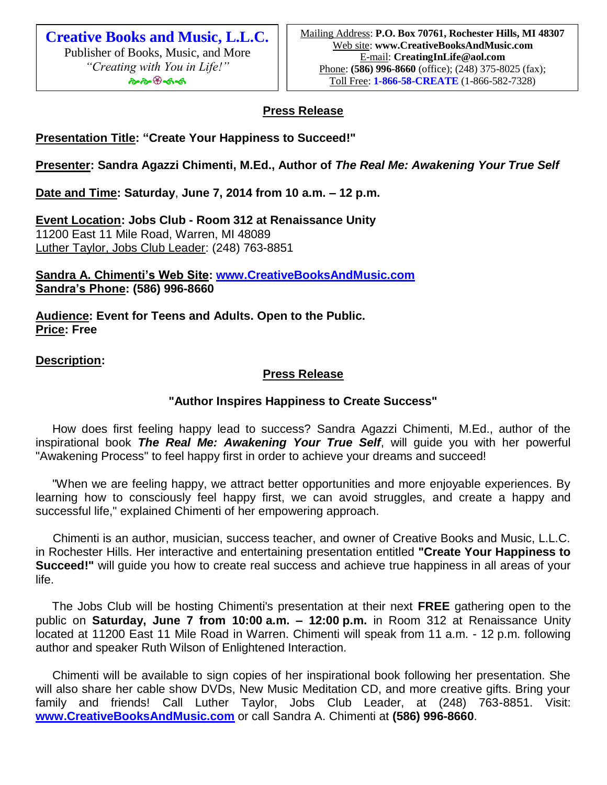**Creative Books and Music, L.L.C.** Publisher of Books, Music, and More *"Creating with You in Life!"* ৡ৽ড়৽ড়৽ঽ

## **Press Release**

**Presentation Title: "Create Your Happiness to Succeed!"**

**Presenter: Sandra Agazzi Chimenti, M.Ed., Author of** *The Real Me: Awakening Your True Self* 

**Date and Time: Saturday**, **June 7, 2014 from 10 a.m. – 12 p.m.**

**Event Location: Jobs Club - Room 312 at Renaissance Unity** 11200 East 11 Mile Road, Warren, MI 48089 Luther Taylor, Jobs Club Leader: (248) 763-8851

**Sandra A. Chimenti's Web Site: [www.CreativeBooksAndMusic.com](http://www.creativebooksandmusic.com/) Sandra's Phone: (586) 996-8660**

**Audience: Event for Teens and Adults. Open to the Public. Price: Free** 

**Description:**

## **Press Release**

## **"Author Inspires Happiness to Create Success"**

 How does first feeling happy lead to success? Sandra Agazzi Chimenti, M.Ed., author of the inspirational book *The Real Me: Awakening Your True Self*, will guide you with her powerful "Awakening Process" to feel happy first in order to achieve your dreams and succeed!

 "When we are feeling happy, we attract better opportunities and more enjoyable experiences. By learning how to consciously feel happy first, we can avoid struggles, and create a happy and successful life," explained Chimenti of her empowering approach.

 Chimenti is an author, musician, success teacher, and owner of Creative Books and Music, L.L.C. in Rochester Hills. Her interactive and entertaining presentation entitled **"Create Your Happiness to Succeed!"** will guide you how to create real success and achieve true happiness in all areas of your life.

 The Jobs Club will be hosting Chimenti's presentation at their next **FREE** gathering open to the public on **Saturday, June 7 from 10:00 a.m. – 12:00 p.m.** in Room 312 at Renaissance Unity located at 11200 East 11 Mile Road in Warren. Chimenti will speak from 11 a.m. - 12 p.m. following author and speaker Ruth Wilson of Enlightened Interaction.

 Chimenti will be available to sign copies of her inspirational book following her presentation. She will also share her cable show DVDs, New Music Meditation CD, and more creative gifts. Bring your family and friends! Call Luther Taylor, Jobs Club Leader, at (248) 763-8851. Visit: **[www.CreativeBooksAndMusic.com](http://www.creativebooksandmusic.com/)** or call Sandra A. Chimenti at **(586) 996-8660**.